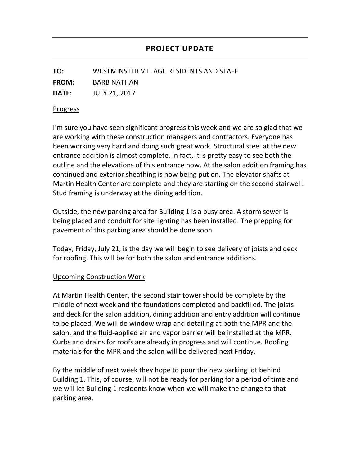**TO:** WESTMINSTER VILLAGE RESIDENTS AND STAFF

**FROM:** BARB NATHAN

**DATE:** JULY 21, 2017

## Progress

I'm sure you have seen significant progress this week and we are so glad that we are working with these construction managers and contractors. Everyone has been working very hard and doing such great work. Structural steel at the new entrance addition is almost complete. In fact, it is pretty easy to see both the outline and the elevations of this entrance now. At the salon addition framing has continued and exterior sheathing is now being put on. The elevator shafts at Martin Health Center are complete and they are starting on the second stairwell. Stud framing is underway at the dining addition.

Outside, the new parking area for Building 1 is a busy area. A storm sewer is being placed and conduit for site lighting has been installed. The prepping for pavement of this parking area should be done soon.

Today, Friday, July 21, is the day we will begin to see delivery of joists and deck for roofing. This will be for both the salon and entrance additions.

## Upcoming Construction Work

At Martin Health Center, the second stair tower should be complete by the middle of next week and the foundations completed and backfilled. The joists and deck for the salon addition, dining addition and entry addition will continue to be placed. We will do window wrap and detailing at both the MPR and the salon, and the fluid-applied air and vapor barrier will be installed at the MPR. Curbs and drains for roofs are already in progress and will continue. Roofing materials for the MPR and the salon will be delivered next Friday.

By the middle of next week they hope to pour the new parking lot behind Building 1. This, of course, will not be ready for parking for a period of time and we will let Building 1 residents know when we will make the change to that parking area.